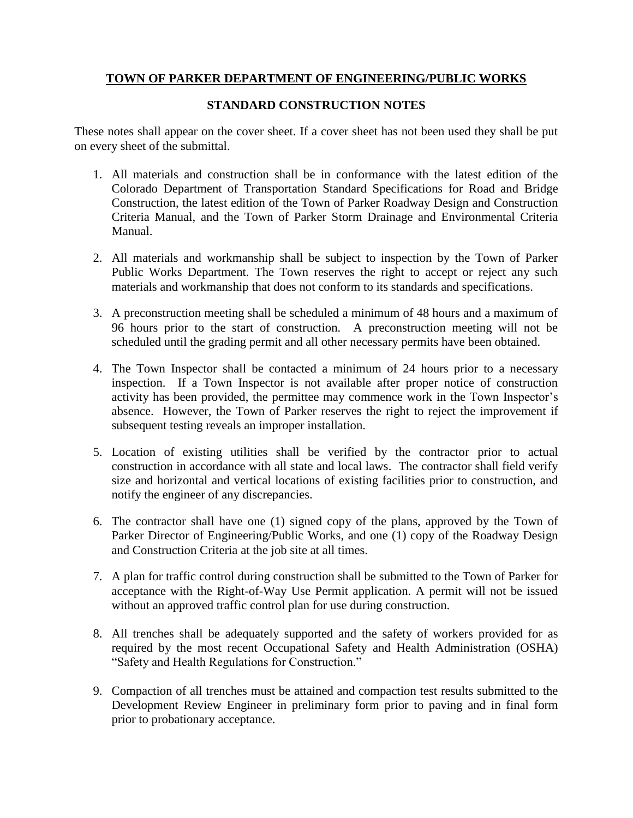# **TOWN OF PARKER DEPARTMENT OF ENGINEERING/PUBLIC WORKS**

## **STANDARD CONSTRUCTION NOTES**

These notes shall appear on the cover sheet. If a cover sheet has not been used they shall be put on every sheet of the submittal.

- 1. All materials and construction shall be in conformance with the latest edition of the Colorado Department of Transportation Standard Specifications for Road and Bridge Construction, the latest edition of the Town of Parker Roadway Design and Construction Criteria Manual, and the Town of Parker Storm Drainage and Environmental Criteria Manual.
- 2. All materials and workmanship shall be subject to inspection by the Town of Parker Public Works Department. The Town reserves the right to accept or reject any such materials and workmanship that does not conform to its standards and specifications.
- 3. A preconstruction meeting shall be scheduled a minimum of 48 hours and a maximum of 96 hours prior to the start of construction. A preconstruction meeting will not be scheduled until the grading permit and all other necessary permits have been obtained.
- 4. The Town Inspector shall be contacted a minimum of 24 hours prior to a necessary inspection. If a Town Inspector is not available after proper notice of construction activity has been provided, the permittee may commence work in the Town Inspector's absence. However, the Town of Parker reserves the right to reject the improvement if subsequent testing reveals an improper installation.
- 5. Location of existing utilities shall be verified by the contractor prior to actual construction in accordance with all state and local laws. The contractor shall field verify size and horizontal and vertical locations of existing facilities prior to construction, and notify the engineer of any discrepancies.
- 6. The contractor shall have one (1) signed copy of the plans, approved by the Town of Parker Director of Engineering/Public Works, and one (1) copy of the Roadway Design and Construction Criteria at the job site at all times.
- 7. A plan for traffic control during construction shall be submitted to the Town of Parker for acceptance with the Right-of-Way Use Permit application. A permit will not be issued without an approved traffic control plan for use during construction.
- 8. All trenches shall be adequately supported and the safety of workers provided for as required by the most recent Occupational Safety and Health Administration (OSHA) "Safety and Health Regulations for Construction."
- 9. Compaction of all trenches must be attained and compaction test results submitted to the Development Review Engineer in preliminary form prior to paving and in final form prior to probationary acceptance.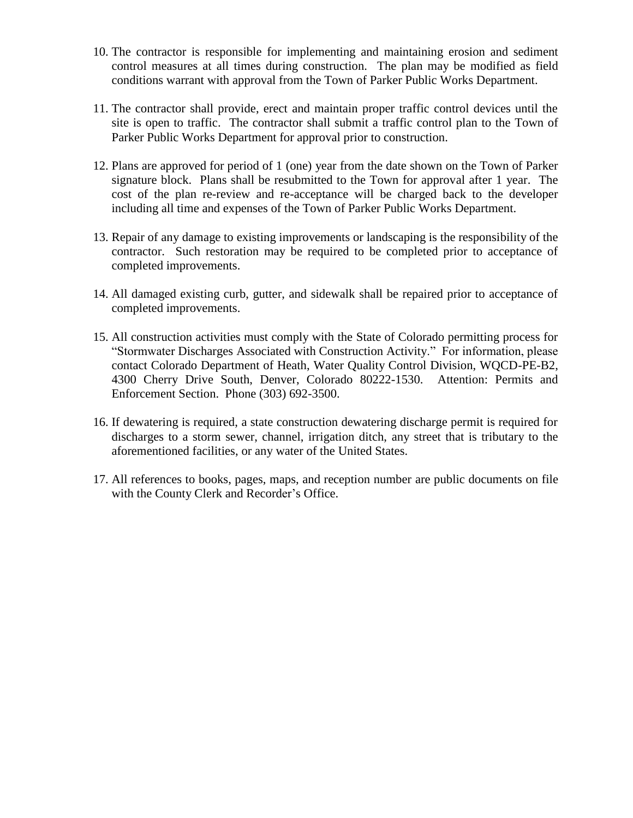- 10. The contractor is responsible for implementing and maintaining erosion and sediment control measures at all times during construction. The plan may be modified as field conditions warrant with approval from the Town of Parker Public Works Department.
- 11. The contractor shall provide, erect and maintain proper traffic control devices until the site is open to traffic. The contractor shall submit a traffic control plan to the Town of Parker Public Works Department for approval prior to construction.
- 12. Plans are approved for period of 1 (one) year from the date shown on the Town of Parker signature block. Plans shall be resubmitted to the Town for approval after 1 year. The cost of the plan re-review and re-acceptance will be charged back to the developer including all time and expenses of the Town of Parker Public Works Department.
- 13. Repair of any damage to existing improvements or landscaping is the responsibility of the contractor. Such restoration may be required to be completed prior to acceptance of completed improvements.
- 14. All damaged existing curb, gutter, and sidewalk shall be repaired prior to acceptance of completed improvements.
- 15. All construction activities must comply with the State of Colorado permitting process for "Stormwater Discharges Associated with Construction Activity." For information, please contact Colorado Department of Heath, Water Quality Control Division, WQCD-PE-B2, 4300 Cherry Drive South, Denver, Colorado 80222-1530. Attention: Permits and Enforcement Section. Phone (303) 692-3500.
- 16. If dewatering is required, a state construction dewatering discharge permit is required for discharges to a storm sewer, channel, irrigation ditch, any street that is tributary to the aforementioned facilities, or any water of the United States.
- 17. All references to books, pages, maps, and reception number are public documents on file with the County Clerk and Recorder's Office.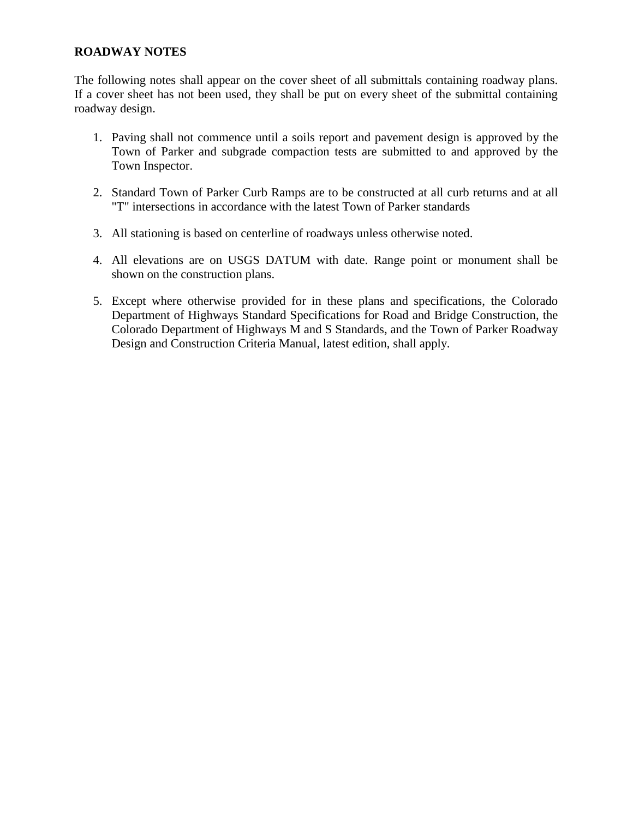## **ROADWAY NOTES**

The following notes shall appear on the cover sheet of all submittals containing roadway plans. If a cover sheet has not been used, they shall be put on every sheet of the submittal containing roadway design.

- 1. Paving shall not commence until a soils report and pavement design is approved by the Town of Parker and subgrade compaction tests are submitted to and approved by the Town Inspector.
- 2. Standard Town of Parker Curb Ramps are to be constructed at all curb returns and at all "T" intersections in accordance with the latest Town of Parker standards
- 3. All stationing is based on centerline of roadways unless otherwise noted.
- 4. All elevations are on USGS DATUM with date. Range point or monument shall be shown on the construction plans.
- 5. Except where otherwise provided for in these plans and specifications, the Colorado Department of Highways Standard Specifications for Road and Bridge Construction, the Colorado Department of Highways M and S Standards, and the Town of Parker Roadway Design and Construction Criteria Manual, latest edition, shall apply.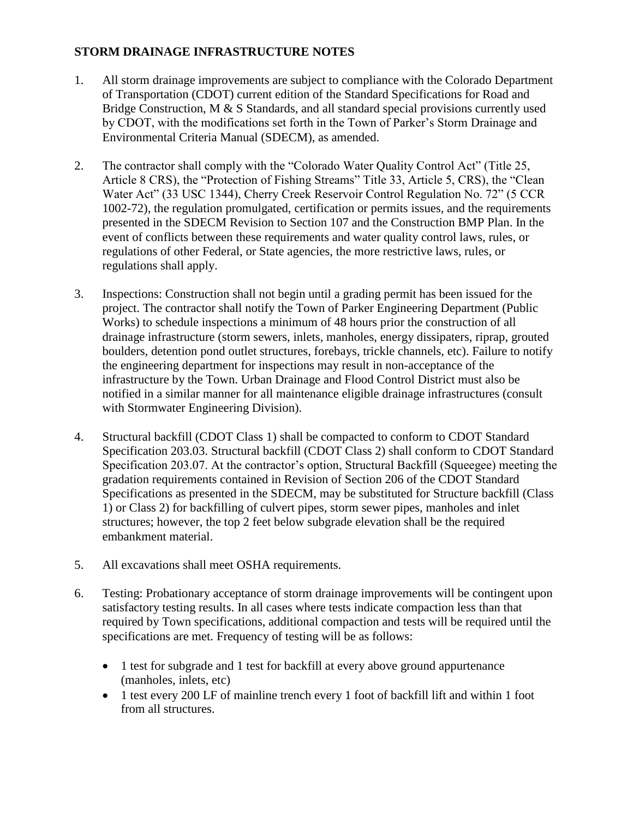# **STORM DRAINAGE INFRASTRUCTURE NOTES**

- 1. All storm drainage improvements are subject to compliance with the Colorado Department of Transportation (CDOT) current edition of the Standard Specifications for Road and Bridge Construction, M & S Standards, and all standard special provisions currently used by CDOT, with the modifications set forth in the Town of Parker's Storm Drainage and Environmental Criteria Manual (SDECM), as amended.
- 2. The contractor shall comply with the "Colorado Water Quality Control Act" (Title 25, Article 8 CRS), the "Protection of Fishing Streams" Title 33, Article 5, CRS), the "Clean Water Act" (33 USC 1344), Cherry Creek Reservoir Control Regulation No. 72" (5 CCR 1002-72), the regulation promulgated, certification or permits issues, and the requirements presented in the SDECM Revision to Section 107 and the Construction BMP Plan. In the event of conflicts between these requirements and water quality control laws, rules, or regulations of other Federal, or State agencies, the more restrictive laws, rules, or regulations shall apply.
- 3. Inspections: Construction shall not begin until a grading permit has been issued for the project. The contractor shall notify the Town of Parker Engineering Department (Public Works) to schedule inspections a minimum of 48 hours prior the construction of all drainage infrastructure (storm sewers, inlets, manholes, energy dissipaters, riprap, grouted boulders, detention pond outlet structures, forebays, trickle channels, etc). Failure to notify the engineering department for inspections may result in non-acceptance of the infrastructure by the Town. Urban Drainage and Flood Control District must also be notified in a similar manner for all maintenance eligible drainage infrastructures (consult with Stormwater Engineering Division).
- 4. Structural backfill (CDOT Class 1) shall be compacted to conform to CDOT Standard Specification 203.03. Structural backfill (CDOT Class 2) shall conform to CDOT Standard Specification 203.07. At the contractor's option, Structural Backfill (Squeegee) meeting the gradation requirements contained in Revision of Section 206 of the CDOT Standard Specifications as presented in the SDECM, may be substituted for Structure backfill (Class 1) or Class 2) for backfilling of culvert pipes, storm sewer pipes, manholes and inlet structures; however, the top 2 feet below subgrade elevation shall be the required embankment material.
- 5. All excavations shall meet OSHA requirements.
- 6. Testing: Probationary acceptance of storm drainage improvements will be contingent upon satisfactory testing results. In all cases where tests indicate compaction less than that required by Town specifications, additional compaction and tests will be required until the specifications are met. Frequency of testing will be as follows:
	- 1 test for subgrade and 1 test for backfill at every above ground appurtenance (manholes, inlets, etc)
	- 1 test every 200 LF of mainline trench every 1 foot of backfill lift and within 1 foot from all structures.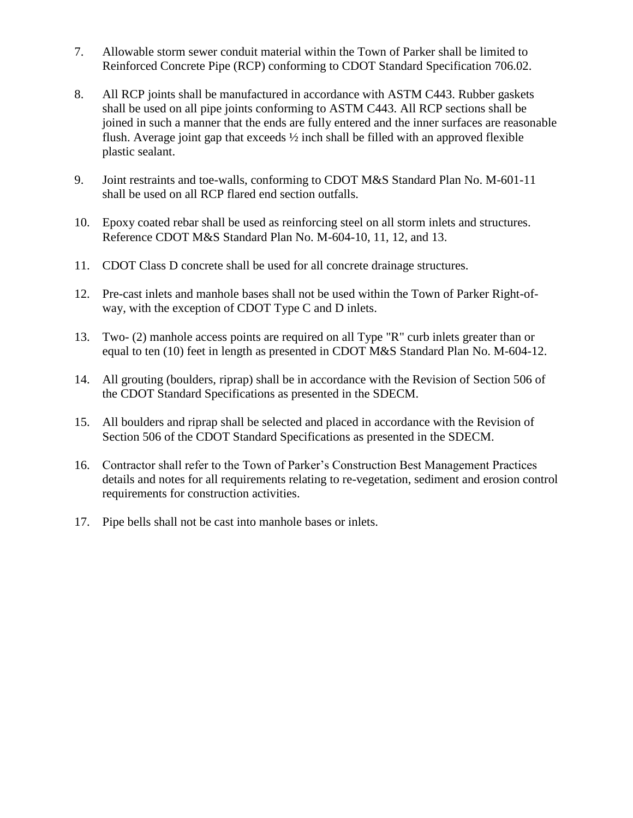- 7. Allowable storm sewer conduit material within the Town of Parker shall be limited to Reinforced Concrete Pipe (RCP) conforming to CDOT Standard Specification 706.02.
- 8. All RCP joints shall be manufactured in accordance with ASTM C443. Rubber gaskets shall be used on all pipe joints conforming to ASTM C443. All RCP sections shall be joined in such a manner that the ends are fully entered and the inner surfaces are reasonable flush. Average joint gap that exceeds ½ inch shall be filled with an approved flexible plastic sealant.
- 9. Joint restraints and toe-walls, conforming to CDOT M&S Standard Plan No. M-601-11 shall be used on all RCP flared end section outfalls.
- 10. Epoxy coated rebar shall be used as reinforcing steel on all storm inlets and structures. Reference CDOT M&S Standard Plan No. M-604-10, 11, 12, and 13.
- 11. CDOT Class D concrete shall be used for all concrete drainage structures.
- 12. Pre-cast inlets and manhole bases shall not be used within the Town of Parker Right-ofway, with the exception of CDOT Type C and D inlets.
- 13. Two- (2) manhole access points are required on all Type "R" curb inlets greater than or equal to ten (10) feet in length as presented in CDOT M&S Standard Plan No. M-604-12.
- 14. All grouting (boulders, riprap) shall be in accordance with the Revision of Section 506 of the CDOT Standard Specifications as presented in the SDECM.
- 15. All boulders and riprap shall be selected and placed in accordance with the Revision of Section 506 of the CDOT Standard Specifications as presented in the SDECM.
- 16. Contractor shall refer to the Town of Parker's Construction Best Management Practices details and notes for all requirements relating to re-vegetation, sediment and erosion control requirements for construction activities.
- 17. Pipe bells shall not be cast into manhole bases or inlets.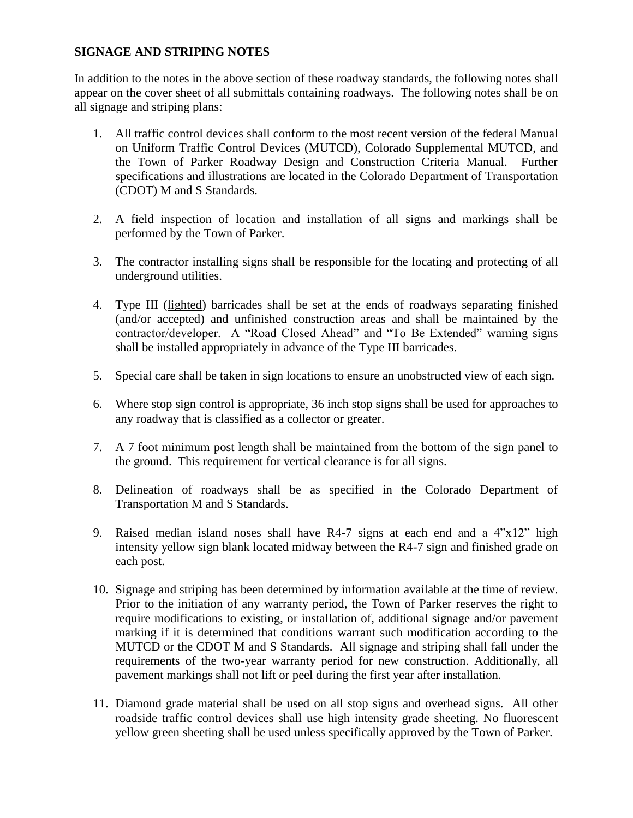# **SIGNAGE AND STRIPING NOTES**

In addition to the notes in the above section of these roadway standards, the following notes shall appear on the cover sheet of all submittals containing roadways. The following notes shall be on all signage and striping plans:

- 1. All traffic control devices shall conform to the most recent version of the federal Manual on Uniform Traffic Control Devices (MUTCD), Colorado Supplemental MUTCD, and the Town of Parker Roadway Design and Construction Criteria Manual. Further specifications and illustrations are located in the Colorado Department of Transportation (CDOT) M and S Standards.
- 2. A field inspection of location and installation of all signs and markings shall be performed by the Town of Parker.
- 3. The contractor installing signs shall be responsible for the locating and protecting of all underground utilities.
- 4. Type III (lighted) barricades shall be set at the ends of roadways separating finished (and/or accepted) and unfinished construction areas and shall be maintained by the contractor/developer. A "Road Closed Ahead" and "To Be Extended" warning signs shall be installed appropriately in advance of the Type III barricades.
- 5. Special care shall be taken in sign locations to ensure an unobstructed view of each sign.
- 6. Where stop sign control is appropriate, 36 inch stop signs shall be used for approaches to any roadway that is classified as a collector or greater.
- 7. A 7 foot minimum post length shall be maintained from the bottom of the sign panel to the ground. This requirement for vertical clearance is for all signs.
- 8. Delineation of roadways shall be as specified in the Colorado Department of Transportation M and S Standards.
- 9. Raised median island noses shall have R4-7 signs at each end and a 4"x12" high intensity yellow sign blank located midway between the R4-7 sign and finished grade on each post.
- 10. Signage and striping has been determined by information available at the time of review. Prior to the initiation of any warranty period, the Town of Parker reserves the right to require modifications to existing, or installation of, additional signage and/or pavement marking if it is determined that conditions warrant such modification according to the MUTCD or the CDOT M and S Standards. All signage and striping shall fall under the requirements of the two-year warranty period for new construction. Additionally, all pavement markings shall not lift or peel during the first year after installation.
- 11. Diamond grade material shall be used on all stop signs and overhead signs. All other roadside traffic control devices shall use high intensity grade sheeting. No fluorescent yellow green sheeting shall be used unless specifically approved by the Town of Parker.